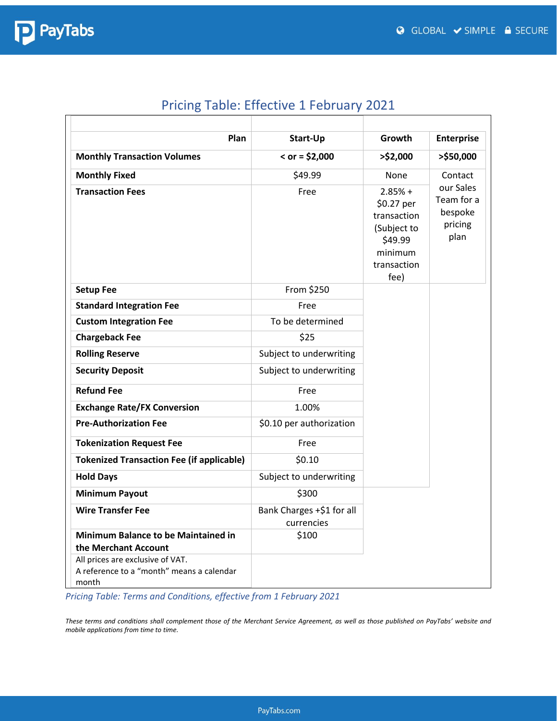

| Plan                                                                                   | Start-Up                                | Growth                                                                                             | <b>Enterprise</b>                                     |  |
|----------------------------------------------------------------------------------------|-----------------------------------------|----------------------------------------------------------------------------------------------------|-------------------------------------------------------|--|
| <b>Monthly Transaction Volumes</b>                                                     | $<$ or = \$2,000                        | $>$ \$2,000                                                                                        | >\$50,000                                             |  |
| <b>Monthly Fixed</b>                                                                   | \$49.99                                 | <b>None</b><br>Contact                                                                             |                                                       |  |
| <b>Transaction Fees</b>                                                                | Free                                    | $2.85% +$<br>\$0.27 per<br>transaction<br>(Subject to<br>\$49.99<br>minimum<br>transaction<br>fee) | our Sales<br>Team for a<br>bespoke<br>pricing<br>plan |  |
| <b>Setup Fee</b>                                                                       | From \$250                              |                                                                                                    |                                                       |  |
| <b>Standard Integration Fee</b>                                                        | Free                                    |                                                                                                    |                                                       |  |
| <b>Custom Integration Fee</b>                                                          | To be determined                        |                                                                                                    |                                                       |  |
| <b>Chargeback Fee</b>                                                                  | \$25                                    |                                                                                                    |                                                       |  |
| <b>Rolling Reserve</b>                                                                 | Subject to underwriting                 |                                                                                                    |                                                       |  |
| <b>Security Deposit</b>                                                                | Subject to underwriting                 |                                                                                                    |                                                       |  |
| <b>Refund Fee</b>                                                                      | Free                                    |                                                                                                    |                                                       |  |
| <b>Exchange Rate/FX Conversion</b>                                                     | 1.00%                                   |                                                                                                    |                                                       |  |
| <b>Pre-Authorization Fee</b>                                                           | \$0.10 per authorization                |                                                                                                    |                                                       |  |
| <b>Tokenization Request Fee</b>                                                        | Free                                    |                                                                                                    |                                                       |  |
| <b>Tokenized Transaction Fee (if applicable)</b>                                       | \$0.10                                  |                                                                                                    |                                                       |  |
| <b>Hold Days</b>                                                                       | Subject to underwriting                 |                                                                                                    |                                                       |  |
| <b>Minimum Payout</b>                                                                  | \$300                                   |                                                                                                    |                                                       |  |
| <b>Wire Transfer Fee</b>                                                               | Bank Charges +\$1 for all<br>currencies |                                                                                                    |                                                       |  |
| Minimum Balance to be Maintained in<br>the Merchant Account                            | \$100                                   |                                                                                                    |                                                       |  |
| All prices are exclusive of VAT.<br>A reference to a "month" means a calendar<br>month |                                         |                                                                                                    |                                                       |  |

### Pricing Table: Effective 1 February 2021

*Pricing Table: Terms and Conditions, effective from 1 February 2021*

*These terms and conditions shall complement those of the Merchant Service Agreement, as well as those published on PayTabs' website and mobile applications from time to time.*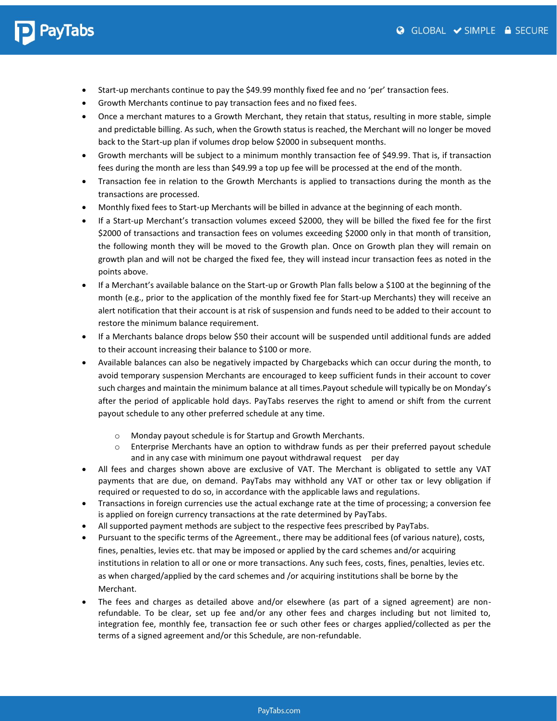## PayTabs

- Start-up merchants continue to pay the \$49.99 monthly fixed fee and no 'per' transaction fees.
- Growth Merchants continue to pay transaction fees and no fixed fees.
- Once a merchant matures to a Growth Merchant, they retain that status, resulting in more stable, simple and predictable billing. As such, when the Growth status is reached, the Merchant will no longer be moved back to the Start-up plan if volumes drop below \$2000 in subsequent months.
- Growth merchants will be subject to a minimum monthly transaction fee of \$49.99. That is, if transaction fees during the month are less than \$49.99 a top up fee will be processed at the end of the month.
- Transaction fee in relation to the Growth Merchants is applied to transactions during the month as the transactions are processed.
- Monthly fixed fees to Start-up Merchants will be billed in advance at the beginning of each month.
- If a Start-up Merchant's transaction volumes exceed \$2000, they will be billed the fixed fee for the first \$2000 of transactions and transaction fees on volumes exceeding \$2000 only in that month of transition, the following month they will be moved to the Growth plan. Once on Growth plan they will remain on growth plan and will not be charged the fixed fee, they will instead incur transaction fees as noted in the points above.
- If a Merchant's available balance on the Start-up or Growth Plan falls below a \$100 at the beginning of the month (e.g., prior to the application of the monthly fixed fee for Start-up Merchants) they will receive an alert notification that their account is at risk of suspension and funds need to be added to their account to restore the minimum balance requirement.
- If a Merchants balance drops below \$50 their account will be suspended until additional funds are added to their account increasing their balance to \$100 or more.
- Available balances can also be negatively impacted by Chargebacks which can occur during the month, to avoid temporary suspension Merchants are encouraged to keep sufficient funds in their account to cover such charges and maintain the minimum balance at all times.Payout schedule will typically be on Monday's after the period of applicable hold days. PayTabs reserves the right to amend or shift from the current payout schedule to any other preferred schedule at any time.
	- o Monday payout schedule is for Startup and Growth Merchants.
	- $\circ$  Enterprise Merchants have an option to withdraw funds as per their preferred payout schedule and in any case with minimum one payout withdrawal request per day
- All fees and charges shown above are exclusive of VAT. The Merchant is obligated to settle any VAT payments that are due, on demand. PayTabs may withhold any VAT or other tax or levy obligation if required or requested to do so, in accordance with the applicable laws and regulations.
- Transactions in foreign currencies use the actual exchange rate at the time of processing; a conversion fee is applied on foreign currency transactions at the rate determined by PayTabs.
- All supported payment methods are subject to the respective fees prescribed by PayTabs.
- Pursuant to the specific terms of the Agreement., there may be additional fees (of various nature), costs, fines, penalties, levies etc. that may be imposed or applied by the card schemes and/or acquiring institutions in relation to all or one or more transactions. Any such fees, costs, fines, penalties, levies etc. as when charged/applied by the card schemes and /or acquiring institutions shall be borne by the Merchant.
- The fees and charges as detailed above and/or elsewhere (as part of a signed agreement) are nonrefundable. To be clear, set up fee and/or any other fees and charges including but not limited to, integration fee, monthly fee, transaction fee or such other fees or charges applied/collected as per the terms of a signed agreement and/or this Schedule, are non-refundable.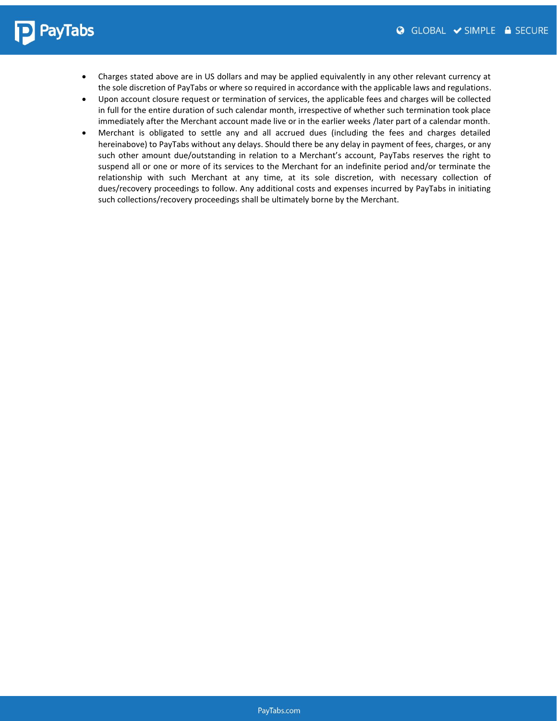# **P** PayTabs

- Charges stated above are in US dollars and may be applied equivalently in any other relevant currency at the sole discretion of PayTabs or where so required in accordance with the applicable laws and regulations.
- Upon account closure request or termination of services, the applicable fees and charges will be collected in full for the entire duration of such calendar month, irrespective of whether such termination took place immediately after the Merchant account made live or in the earlier weeks /later part of a calendar month.
- Merchant is obligated to settle any and all accrued dues (including the fees and charges detailed hereinabove) to PayTabs without any delays. Should there be any delay in payment of fees, charges, or any such other amount due/outstanding in relation to a Merchant's account, PayTabs reserves the right to suspend all or one or more of its services to the Merchant for an indefinite period and/or terminate the relationship with such Merchant at any time, at its sole discretion, with necessary collection of dues/recovery proceedings to follow. Any additional costs and expenses incurred by PayTabs in initiating such collections/recovery proceedings shall be ultimately borne by the Merchant.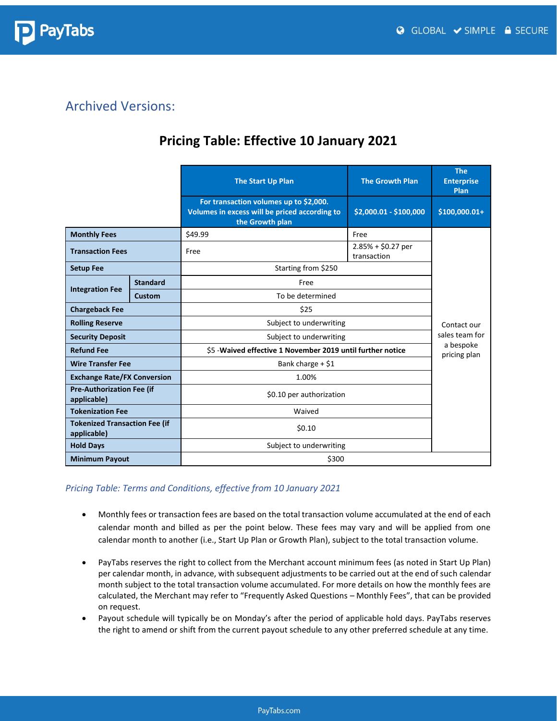

#### Archived Versions:

#### **Pricing Table: Effective 10 January 2021**

|                                                     |                                             | <b>The Start Up Plan</b>                                                                                   | <b>The Growth Plan</b>             | <b>The</b><br><b>Enterprise</b><br>Plan |
|-----------------------------------------------------|---------------------------------------------|------------------------------------------------------------------------------------------------------------|------------------------------------|-----------------------------------------|
|                                                     |                                             | For transaction volumes up to \$2,000.<br>Volumes in excess will be priced according to<br>the Growth plan | \$2,000.01 - \$100,000             | $$100,000.01+$                          |
| <b>Monthly Fees</b>                                 |                                             | \$49.99                                                                                                    | Free                               |                                         |
| <b>Transaction Fees</b>                             |                                             | Free                                                                                                       | $2.85% + $0.27$ per<br>transaction |                                         |
| <b>Setup Fee</b>                                    |                                             | Starting from \$250                                                                                        |                                    |                                         |
| <b>Standard</b>                                     |                                             | Free                                                                                                       |                                    |                                         |
| <b>Integration Fee</b>                              | <b>Custom</b>                               | To be determined                                                                                           |                                    |                                         |
| <b>Chargeback Fee</b>                               |                                             | \$25                                                                                                       |                                    |                                         |
| <b>Rolling Reserve</b>                              |                                             | Subject to underwriting                                                                                    |                                    | Contact our                             |
| <b>Security Deposit</b>                             |                                             | Subject to underwriting                                                                                    |                                    | sales team for                          |
| <b>Refund Fee</b>                                   |                                             | \$5 - Waived effective 1 November 2019 until further notice                                                |                                    | a bespoke<br>pricing plan               |
| <b>Wire Transfer Fee</b>                            |                                             | Bank charge $+$ \$1                                                                                        |                                    |                                         |
|                                                     | 1.00%<br><b>Exchange Rate/FX Conversion</b> |                                                                                                            |                                    |                                         |
| <b>Pre-Authorization Fee (if</b><br>applicable)     |                                             | \$0.10 per authorization                                                                                   |                                    |                                         |
| <b>Tokenization Fee</b>                             |                                             | Waived                                                                                                     |                                    |                                         |
| <b>Tokenized Transaction Fee (if</b><br>applicable) |                                             | \$0.10                                                                                                     |                                    |                                         |
| <b>Hold Days</b>                                    |                                             | Subject to underwriting                                                                                    |                                    |                                         |
| <b>Minimum Payout</b>                               |                                             | \$300                                                                                                      |                                    |                                         |

#### *Pricing Table: Terms and Conditions, effective from 10 January 2021*

- Monthly fees or transaction fees are based on the total transaction volume accumulated at the end of each calendar month and billed as per the point below. These fees may vary and will be applied from one calendar month to another (i.e., Start Up Plan or Growth Plan), subject to the total transaction volume.
- PayTabs reserves the right to collect from the Merchant account minimum fees (as noted in Start Up Plan) per calendar month, in advance, with subsequent adjustments to be carried out at the end of such calendar month subject to the total transaction volume accumulated. For more details on how the monthly fees are calculated, the Merchant may refer to "Frequently Asked Questions – Monthly Fees", that can be provided on request.
- Payout schedule will typically be on Monday's after the period of applicable hold days. PayTabs reserves the right to amend or shift from the current payout schedule to any other preferred schedule at any time.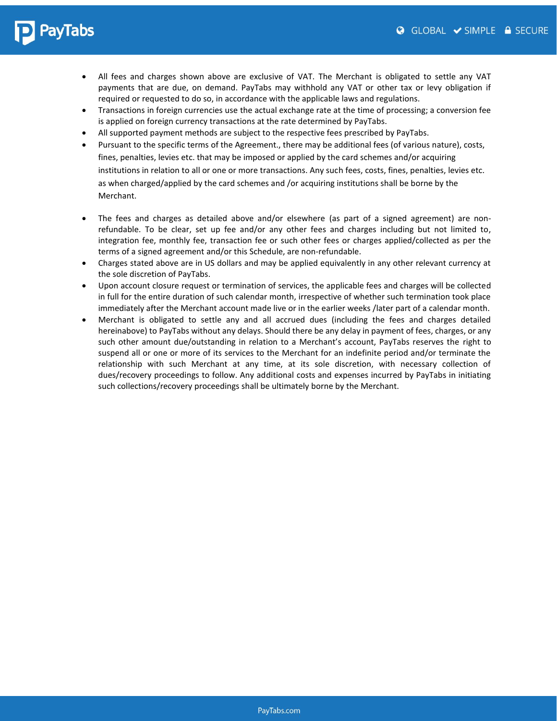## PayTabs

- All fees and charges shown above are exclusive of VAT. The Merchant is obligated to settle any VAT payments that are due, on demand. PayTabs may withhold any VAT or other tax or levy obligation if required or requested to do so, in accordance with the applicable laws and regulations.
- Transactions in foreign currencies use the actual exchange rate at the time of processing; a conversion fee is applied on foreign currency transactions at the rate determined by PayTabs.
- All supported payment methods are subject to the respective fees prescribed by PayTabs.
- Pursuant to the specific terms of the Agreement., there may be additional fees (of various nature), costs, fines, penalties, levies etc. that may be imposed or applied by the card schemes and/or acquiring institutions in relation to all or one or more transactions. Any such fees, costs, fines, penalties, levies etc. as when charged/applied by the card schemes and /or acquiring institutions shall be borne by the Merchant.
- The fees and charges as detailed above and/or elsewhere (as part of a signed agreement) are nonrefundable. To be clear, set up fee and/or any other fees and charges including but not limited to, integration fee, monthly fee, transaction fee or such other fees or charges applied/collected as per the terms of a signed agreement and/or this Schedule, are non-refundable.
- Charges stated above are in US dollars and may be applied equivalently in any other relevant currency at the sole discretion of PayTabs.
- Upon account closure request or termination of services, the applicable fees and charges will be collected in full for the entire duration of such calendar month, irrespective of whether such termination took place immediately after the Merchant account made live or in the earlier weeks /later part of a calendar month.
- Merchant is obligated to settle any and all accrued dues (including the fees and charges detailed hereinabove) to PayTabs without any delays. Should there be any delay in payment of fees, charges, or any such other amount due/outstanding in relation to a Merchant's account, PayTabs reserves the right to suspend all or one or more of its services to the Merchant for an indefinite period and/or terminate the relationship with such Merchant at any time, at its sole discretion, with necessary collection of dues/recovery proceedings to follow. Any additional costs and expenses incurred by PayTabs in initiating such collections/recovery proceedings shall be ultimately borne by the Merchant.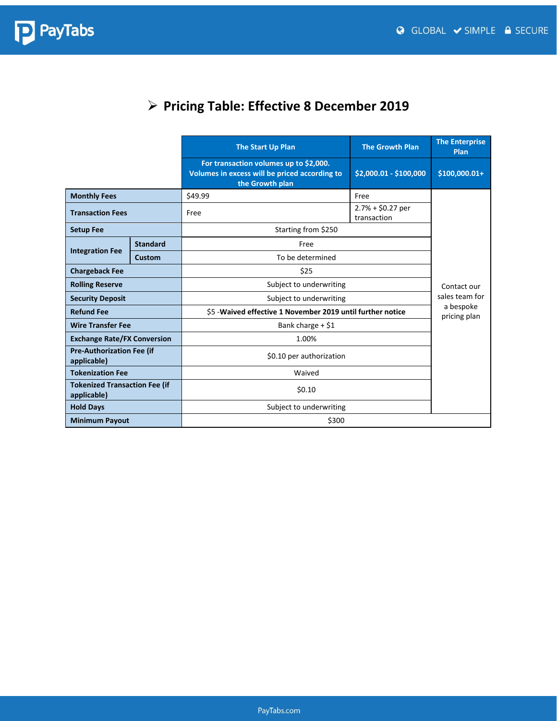

### ➢ **Pricing Table: Effective 8 December 2019**

|                                                     |                     | The Start Up Plan                                                                                          | <b>The Growth Plan</b>            | <b>The Enterprise</b><br><b>Plan</b> |
|-----------------------------------------------------|---------------------|------------------------------------------------------------------------------------------------------------|-----------------------------------|--------------------------------------|
|                                                     |                     | For transaction volumes up to \$2,000.<br>Volumes in excess will be priced according to<br>the Growth plan | \$2,000.01 - \$100,000            | \$100,000.01+                        |
| <b>Monthly Fees</b>                                 |                     | \$49.99                                                                                                    | Free                              |                                      |
| <b>Transaction Fees</b>                             |                     | Free                                                                                                       | $2.7% + $0.27$ per<br>transaction |                                      |
| <b>Setup Fee</b>                                    | Starting from \$250 |                                                                                                            |                                   |                                      |
|                                                     | <b>Standard</b>     | Free                                                                                                       |                                   |                                      |
| <b>Integration Fee</b>                              | Custom              | To be determined                                                                                           |                                   |                                      |
| \$25<br><b>Chargeback Fee</b>                       |                     |                                                                                                            |                                   |                                      |
| <b>Rolling Reserve</b>                              |                     | Subject to underwriting                                                                                    |                                   | Contact our<br>sales team for        |
| <b>Security Deposit</b>                             |                     | Subject to underwriting                                                                                    |                                   |                                      |
| <b>Refund Fee</b>                                   |                     | \$5 - Waived effective 1 November 2019 until further notice                                                |                                   | a bespoke<br>pricing plan            |
| <b>Wire Transfer Fee</b>                            |                     | Bank charge $+$ \$1                                                                                        |                                   |                                      |
| <b>Exchange Rate/FX Conversion</b>                  |                     | 1.00%                                                                                                      |                                   |                                      |
| <b>Pre-Authorization Fee (if</b><br>applicable)     |                     | \$0.10 per authorization                                                                                   |                                   |                                      |
| <b>Tokenization Fee</b>                             |                     | Waived                                                                                                     |                                   |                                      |
| <b>Tokenized Transaction Fee (if</b><br>applicable) |                     | \$0.10                                                                                                     |                                   |                                      |
| <b>Hold Days</b>                                    |                     | Subject to underwriting                                                                                    |                                   |                                      |
| <b>Minimum Payout</b>                               |                     | \$300                                                                                                      |                                   |                                      |